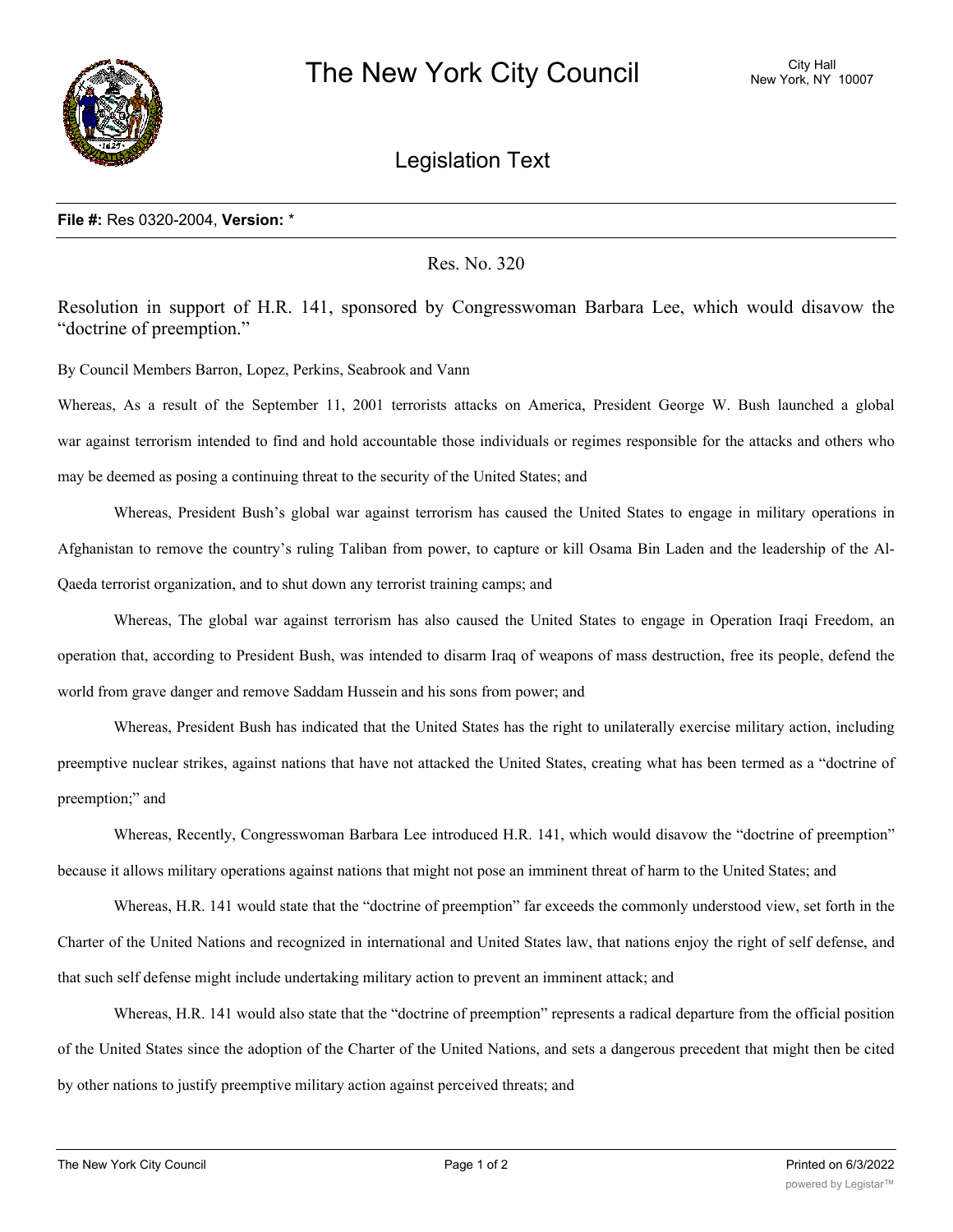

## Legislation Text

## **File #:** Res 0320-2004, **Version:** \*

Res. No. 320

Resolution in support of H.R. 141, sponsored by Congresswoman Barbara Lee, which would disavow the "doctrine of preemption."

By Council Members Barron, Lopez, Perkins, Seabrook and Vann

Whereas, As a result of the September 11, 2001 terrorists attacks on America, President George W. Bush launched a global war against terrorism intended to find and hold accountable those individuals or regimes responsible for the attacks and others who may be deemed as posing a continuing threat to the security of the United States; and

Whereas, President Bush's global war against terrorism has caused the United States to engage in military operations in Afghanistan to remove the country's ruling Taliban from power, to capture or kill Osama Bin Laden and the leadership of the Al-Qaeda terrorist organization, and to shut down any terrorist training camps; and

Whereas, The global war against terrorism has also caused the United States to engage in Operation Iraqi Freedom, an operation that, according to President Bush, was intended to disarm Iraq of weapons of mass destruction, free its people, defend the world from grave danger and remove Saddam Hussein and his sons from power; and

Whereas, President Bush has indicated that the United States has the right to unilaterally exercise military action, including preemptive nuclear strikes, against nations that have not attacked the United States, creating what has been termed as a "doctrine of preemption;" and

Whereas, Recently, Congresswoman Barbara Lee introduced H.R. 141, which would disavow the "doctrine of preemption" because it allows military operations against nations that might not pose an imminent threat of harm to the United States; and

Whereas, H.R. 141 would state that the "doctrine of preemption" far exceeds the commonly understood view, set forth in the Charter of the United Nations and recognized in international and United States law, that nations enjoy the right of self defense, and that such self defense might include undertaking military action to prevent an imminent attack; and

Whereas, H.R. 141 would also state that the "doctrine of preemption" represents a radical departure from the official position of the United States since the adoption of the Charter of the United Nations, and sets a dangerous precedent that might then be cited by other nations to justify preemptive military action against perceived threats; and